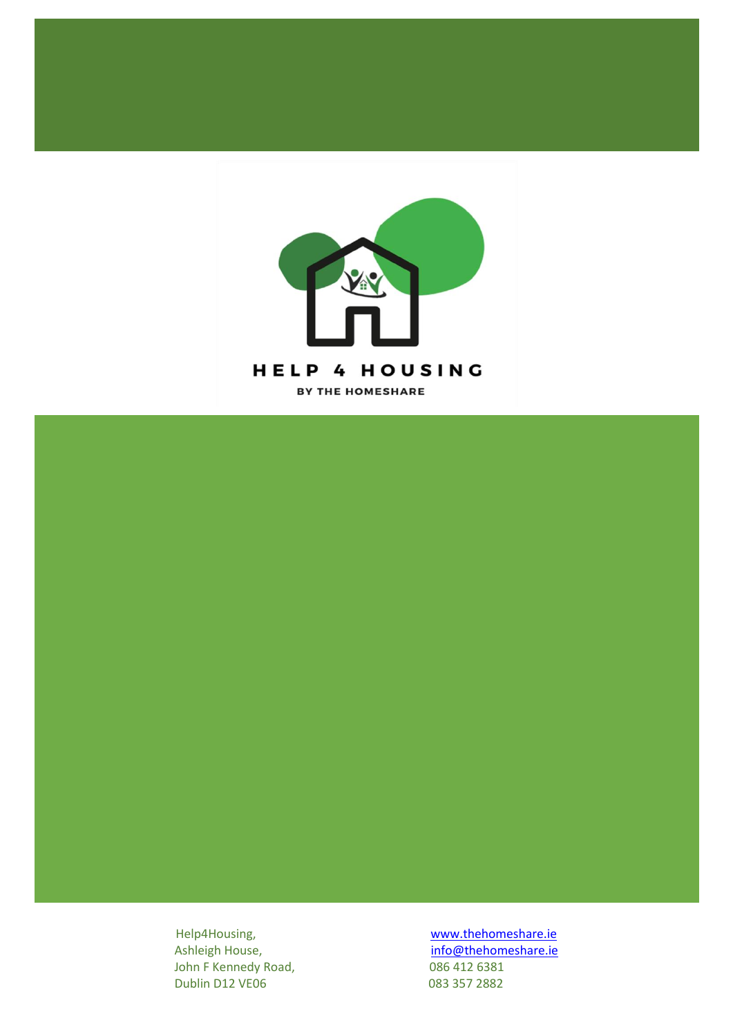

John F Kennedy Road, 086 412 6381 Dublin D12 VE06 083 357 2882

Help4Housing, manufactured and the method [www.thehomeshare.ie](http://www.thehomeshare.ie/)<br>Ashleigh House, the method in the info@thehomeshare.ie [info@thehomeshare.ie](mailto:info@thehomeshare.ie)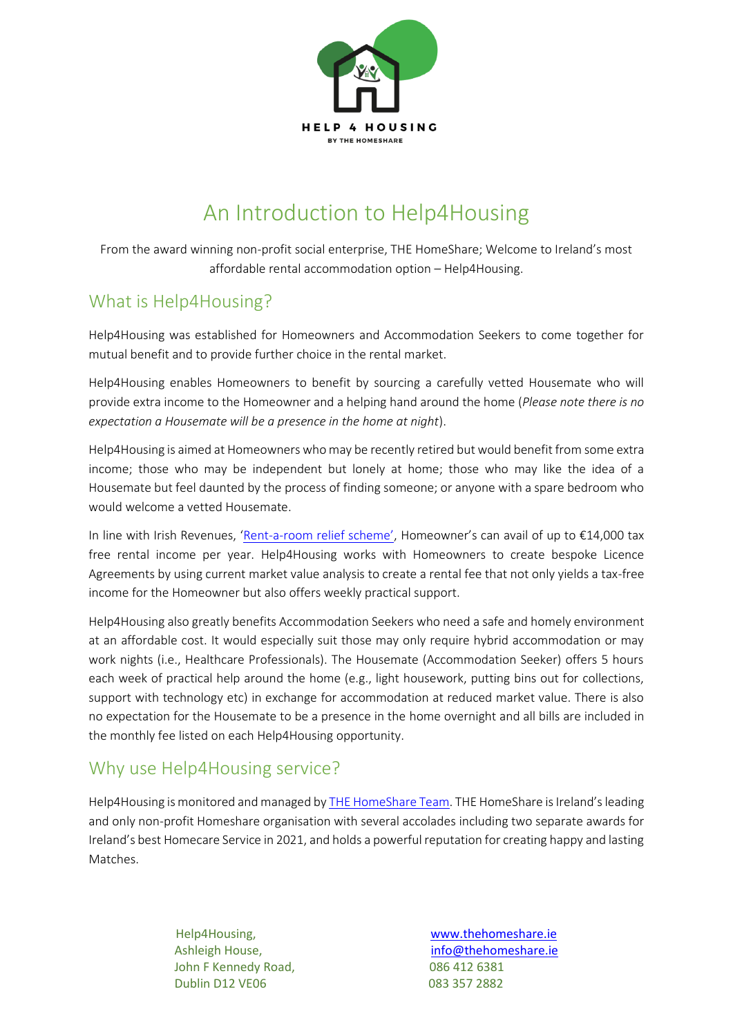

# An Introduction to Help4Housing

From the award winning non-profit social enterprise, THE HomeShare; Welcome to Ireland's most affordable rental accommodation option – Help4Housing.

## What is Help4Housing?

Help4Housing was established for Homeowners and Accommodation Seekers to come together for mutual benefit and to provide further choice in the rental market.

Help4Housing enables Homeowners to benefit by sourcing a carefully vetted Housemate who will provide extra income to the Homeowner and a helping hand around the home (*Please note there is no expectation a Housemate will be a presence in the home at night*).

Help4Housing is aimed at Homeowners who may be recently retired but would benefit from some extra income; those who may be independent but lonely at home; those who may like the idea of a Housemate but feel daunted by the process of finding someone; or anyone with a spare bedroom who would welcome a vetted Housemate.

In line with Irish Revenues, 'Rent-a-[room relief scheme',](https://www.revenue.ie/en/personal-tax-credits-reliefs-and-exemptions/land-and-property/rent-a-room-relief/index.aspx) Homeowner's can avail of up to €14,000 tax free rental income per year. Help4Housing works with Homeowners to create bespoke Licence Agreements by using current market value analysis to create a rental fee that not only yields a tax-free income for the Homeowner but also offers weekly practical support.

Help4Housing also greatly benefits Accommodation Seekers who need a safe and homely environment at an affordable cost. It would especially suit those may only require hybrid accommodation or may work nights (i.e., Healthcare Professionals). The Housemate (Accommodation Seeker) offers 5 hours each week of practical help around the home (e.g., light housework, putting bins out for collections, support with technology etc) in exchange for accommodation at reduced market value. There is also no expectation for the Housemate to be a presence in the home overnight and all bills are included in the monthly fee listed on each Help4Housing opportunity.

### Why use Help4Housing service?

Help4Housing is monitored and managed b[y THE HomeShare Team.](https://thehomeshare.ie/our-team/) THE HomeShare is Ireland's leading and only non-profit Homeshare organisation with several accolades including two separate awards for Ireland's best Homecare Service in 2021, and holds a powerful reputation for creating happy and lasting Matches.

> John F Kennedy Road, 086 412 6381 Dublin D12 VE06 083 357 2882

Help4Housing, [www.thehomeshare.ie](http://www.thehomeshare.ie/) Ashleigh House, [info@thehomeshare.ie](mailto:info@thehomeshare.ie)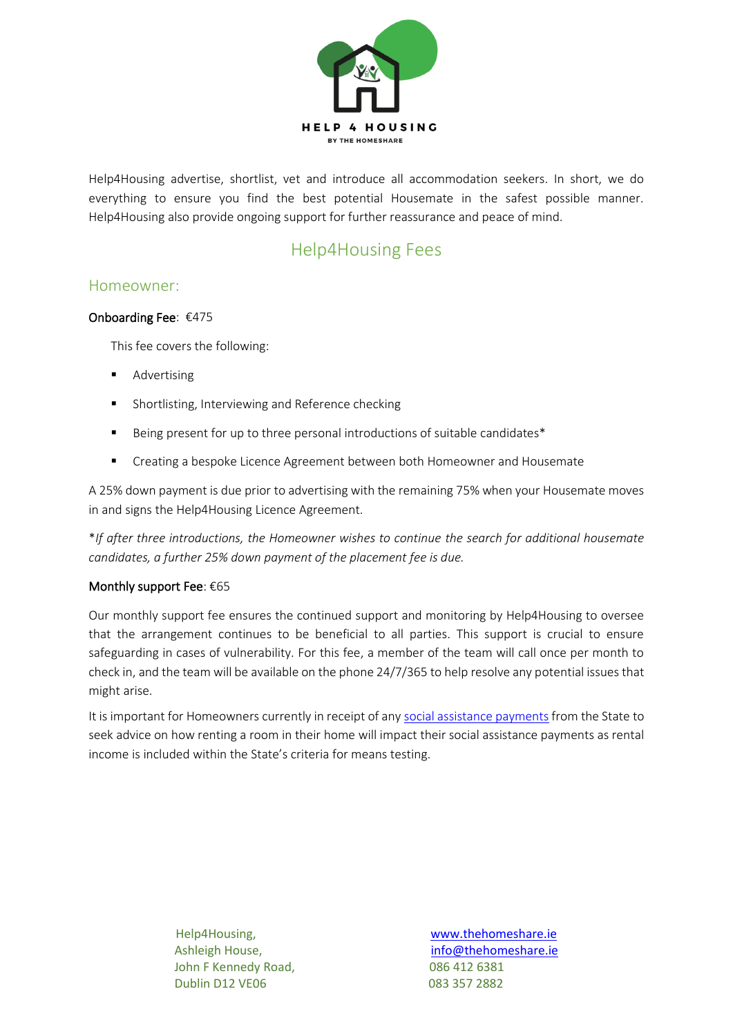

Help4Housing advertise, shortlist, vet and introduce all accommodation seekers. In short, we do everything to ensure you find the best potential Housemate in the safest possible manner. Help4Housing also provide ongoing support for further reassurance and peace of mind.

### Help4Housing Fees

#### Homeowner:

#### Onboarding Fee: €475

This fee covers the following:

- **Advertising**
- Shortlisting, Interviewing and Reference checking
- Being present for up to three personal introductions of suitable candidates\*
- Creating a bespoke Licence Agreement between both Homeowner and Housemate

A 25% down payment is due prior to advertising with the remaining 75% when your Housemate moves in and signs the Help4Housing Licence Agreement.

\**If after three introductions, the Homeowner wishes to continue the search for additional housemate candidates, a further 25% down payment of the placement fee is due.* 

#### Monthly support Fee: €65

Our monthly support fee ensures the continued support and monitoring by Help4Housing to oversee that the arrangement continues to be beneficial to all parties. This support is crucial to ensure safeguarding in cases of vulnerability. For this fee, a member of the team will call once per month to check in, and the team will be available on the phone 24/7/365 to help resolve any potential issues that might arise.

It is important for Homeowners currently in receipt of any [social assistance payments](https://www.citizensinformation.ie/en/social_welfare/irish_social_welfare_system/social_assistance_payments/social_assistance_in_ireland.html) from the State to seek advice on how renting a room in their home will impact their social assistance payments as rental income is included within the State's criteria for means testing.

> John F Kennedy Road, 086 412 6381 Dublin D12 VE06 083 357 2882

Help4Housing, [www.thehomeshare.ie](http://www.thehomeshare.ie/) Ashleigh House, [info@thehomeshare.ie](mailto:info@thehomeshare.ie)